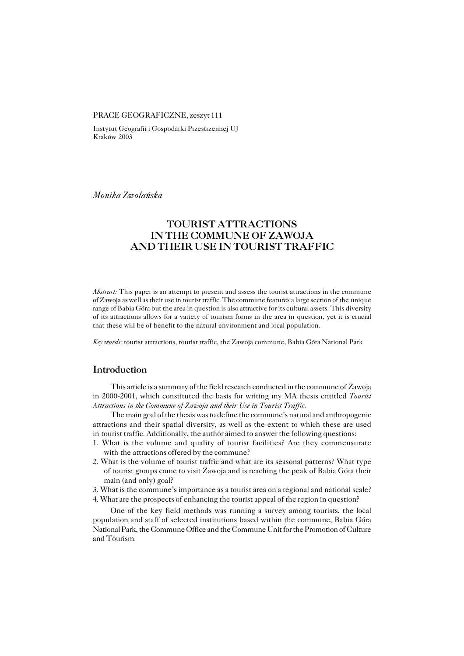#### PRACE GEOGRAFICZNE, zeszyt 111

Instytut Geografii i Gospodarki Przestrzennej UJ Kraków 2003

*Monika Zwolańska*

# **TOURIST ATTRACTIONS IN THE COMMUNE OF ZAWOJA AND THEIR USE IN TOURIST TRAFFIC**

*Abstract:* This paper is an attempt to present and assess the tourist attractions in the commune of Zawoja as well as their use in tourist traffic. The commune features a large section of the unique range of Babia Góra but the area in question is also attractive for its cultural assets. This diversity of its attractions allows for a variety of tourism forms in the area in question, yet it is crucial that these will be of benefit to the natural environment and local population.

*Key words:* tourist attractions, tourist traffic, the Zawoja commune, Babia Góra National Park

#### **Introduction**

This article is a summary of the field research conducted in the commune of Zawoja in 2000−2001, which constituted the basis for writing my MA thesis entitled *Tourist Attractions in the Commune of Zawoja and their Use in Tourist Traffic*.

The main goal of the thesis was to define the commune's natural and anthropogenic attractions and their spatial diversity, as well as the extent to which these are used in tourist traffic. Additionally, the author aimed to answer the following questions:

- 1. What is the volume and quality of tourist facilities? Are they commensurate with the attractions offered by the commune?
- 2. What is the volume of tourist traffic and what are its seasonal patterns? What type of tourist groups come to visit Zawoja and is reaching the peak of Babia Góra their main (and only) goal?
- 3. What is the commune's importance as a tourist area on a regional and national scale? 4. What are the prospects of enhancing the tourist appeal of the region in question?

One of the key field methods was running a survey among tourists, the local population and staff of selected institutions based within the commune, Babia Góra National Park, the Commune Office and the Commune Unit for the Promotion of Culture and Tourism.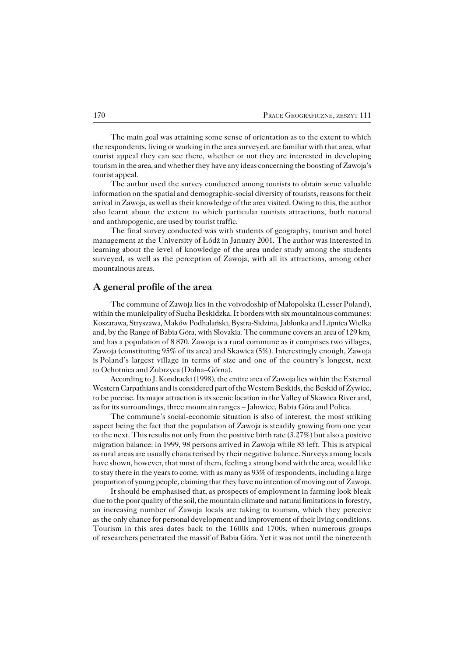The main goal was attaining some sense of orientation as to the extent to which the respondents, living or working in the area surveyed, are familiar with that area, what tourist appeal they can see there, whether or not they are interested in developing tourism in the area, and whether they have any ideas concerning the boosting of Zawoja's tourist appeal.

The author used the survey conducted among tourists to obtain some valuable information on the spatial and demographic−social diversity of tourists, reasons for their arrival in Zawoja, as well as their knowledge of the area visited. Owing to this, the author also learnt about the extent to which particular tourists attractions, both natural and anthropogenic, are used by tourist traffic.

The final survey conducted was with students of geography, tourism and hotel management at the University of Łódż in January 2001. The author was interested in learning about the level of knowledge of the area under study among the students surveyed, as well as the perception of Zawoja, with all its attractions, among other mountainous areas.

## **A general profile of the area**

The commune of Zawoja lies in the voivodoship of Małopolska (Lesser Poland), within the municipality of Sucha Beskidzka. It borders with six mountainous communes: Koszarawa, Stryszawa, Maków Podhalański, Bystra−Sidzina, Jabłonka and Lipnica Wielka and, by the Range of Babia Góra, with Slovakia. The commune covers an area of  $129 \text{ km}$ . and has a population of 8 870. Zawoja is a rural commune as it comprises two villages, Zawoja (constituting 95% of its area) and Skawica (5%). Interestingly enough, Zawoja isPoland's largest village in terms of size and one of the country's longest, next to Ochotnica and Zubrzyca (Dolna–Górna).

According to J. Kondracki (1998), the entire area of Zawoja lies within the External Western Carpathians and is considered part of the Western Beskids, the Beskid of Żywiec, to be precise. Its major attraction is its scenic location in the Valley of Skawica River and, as for its surroundings, three mountain ranges – Jałowiec, Babia Góra and Polica.

The commune's social−economic situation is also of interest, the most striking aspect being the fact that the population of Zawoja is steadily growing from one year to the next. This results not only from the positive birth rate  $(3.27%)$  but also a positive migration balance: in 1999, 98 persons arrived in Zawoja while 85 left. This is atypical as rural areas are usually characterised by their negative balance. Surveys among locals have shown, however, that most of them, feeling a strong bond with the area, would like to stay there in the years to come, with as many as 93% of respondents, including a large proportion of young people, claiming that they have no intention of moving out of Zawoja.

It should be emphasised that, as prospects of employment in farming look bleak due to the poor quality of the soil, the mountain climate and natural limitations inforestry, an increasing number of Zawoja locals are taking to tourism, which they perceive as the only chance for personal development and improvement of their living conditions. Tourism in this area dates back to the 1600s and 1700s, when numerous groups ofresearchers penetrated the massif of Babia Góra. Yet it was not until the nineteenth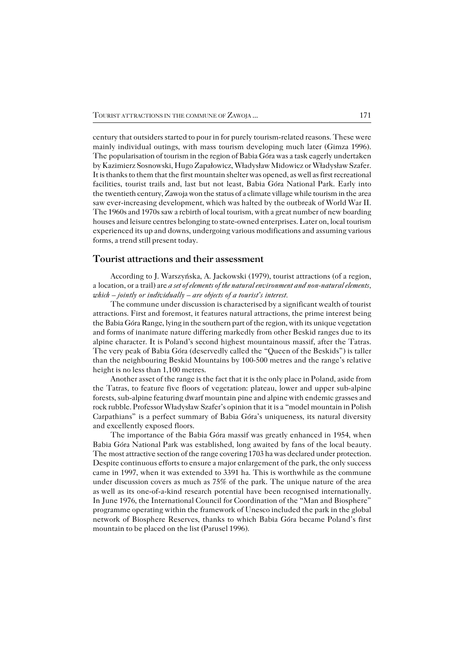century that outsiders started to pour in for purely tourism−related reasons. These were mainly individual outings, with mass tourism developing much later (Gimza 1996). The popularisation of tourism in the region of Babia Góra was a task eagerly undertaken by Kazimierz Sosnowski, Hugo Zapałowicz, Władysław Midowicz or Władysław Szafer. It is thanks to them that the first mountain shelter was opened, as well as first recreational facilities, tourist trails and, last but not least, Babia Góra National Park. Early into the twentieth century, Zawoja won the status of a climate village while tourism in the area saw ever−increasing development, which was halted by the outbreak of World War II. The 1960s and 1970s saw a rebirth of local tourism, with a great number of new boarding houses and leisure centres belonging to state−owned enterprises. Later on, local tourism experienced its up and downs, undergoing various modifications and assuming various forms, a trend still present today.

### **Tourist attractions and their assessment**

According to J. Warszyńska, A. Jackowski (1979), tourist attractions (of a region, alocation, or a trail) are *a set of elements of the natural environment and non−natural elements, which – jointly or individually – are objects of a tourist's interest.*

The commune under discussion is characterised by a significant wealth of tourist attractions. First and foremost, it features natural attractions, the prime interest being the Babia Góra Range, lying in the southern part of the region, with its unique vegetation and forms of inanimate nature differing markedly from other Beskid ranges due to its alpine character. It is Poland's second highest mountainous massif, after the Tatras. The very peak of Babia Góra (deservedly called the "Queen of the Beskids") is taller than the neighbouring Beskid Mountains by 100−500 metres and the range's relative height is no less than 1,100 metres.

Another asset of the range is the fact that it is the only place in Poland, aside from the Tatras, to feature five floors of vegetation: plateau, lower and upper sub−alpine forests, sub−alpine featuring dwarf mountain pine and alpine with endemic grasses and rock rubble. Professor Władysław Szafer's opinion that it is a "model mountain in Polish Carpathians" is a perfect summary of Babia Góra's uniqueness, its natural diversity andexcellently exposed floors.

The importance of the Babia Góra massif was greatly enhanced in 1954, when Babia Góra National Park was established, long awaited by fans of the local beauty. The most attractive section of the range covering 1703 ha was declared under protection. Despite continuous efforts to ensure a major enlargement of the park, the only success came in 1997, when it was extended to 3391 ha. This is worthwhile as the commune under discussion covers as much as 75% of the park. The unique nature of the area aswell as its one−of−a−kind research potential have been recognised internationally. In June 1976, the International Council for Coordination of the "Man and Biosphere" programme operating within the framework of Unesco included the park in the global network of Biosphere Reserves, thanks to which Babia Góra became Poland's first mountain to be placed on the list (Parusel 1996).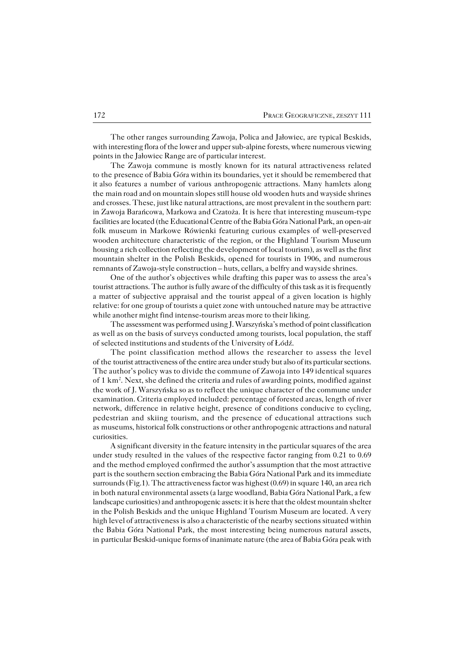The other ranges surrounding Zawoja, Polica and Jałowiec, are typical Beskids, with interesting flora of the lower and upper sub−alpine forests, where numerous viewing points in the Jałowiec Range are of particular interest.

The Zawoja commune is mostly known for its natural attractiveness related to the presence of Babia Góra within its boundaries, yet it should be remembered that italso features a number of various anthropogenic attractions. Many hamlets along the main road and on mountain slopes still house old wooden huts and wayside shrines and crosses. These, just like natural attractions, are most prevalent in the southern part: in Zawoja Barańcowa, Markowa and Czatoża. It is here that interesting museum−type facilities are located (the Educational Centre of the Babia Góra National Park, an open−air folk museum in Markowe Rówienki featuring curious examples of well−preserved wooden architecture characteristic of the region, or the Highland Tourism Museum housing a rich collection reflecting the development of local tourism), as well as the first mountain shelter in the Polish Beskids, opened for tourists in 1906, and numerous remnants of Zawoja−style construction – huts, cellars, a belfry and wayside shrines.

One of the author's objectives while drafting this paper was to assess the area's tourist attractions. The author is fully aware of the difficulty of this task as it is frequently a matter of subjective appraisal and the tourist appeal of a given location is highly relative: for one group of tourists a quiet zone with untouched nature may be attractive while another might find intense−tourism areas more to their liking.

The assessment was performed using J. Warszyńska's method of point classification as well as on the basis of surveys conducted among tourists, local population, the staff of selected institutions and students of the University of Łódź.

The point classification method allows the researcher to assess the level of the tourist attractiveness of the entire area under study but also of its particular sections. The author's policy was to divide the commune of Zawoja into 149 identical squares of 1 km<sup>2</sup>. Next, she defined the criteria and rules of awarding points, modified against the work of J. Warszyńska so as to reflect the unique character of the commune under examination. Criteria employed included: percentage of forested areas, length of river network, difference in relative height, presence of conditions conducive to cycling, pedestrian and skiing tourism, and the presence of educational attractions such as museums, historical folk constructions or other anthropogenic attractions and natural curiosities.

A significant diversity in the feature intensity in the particular squares of the area under study resulted in the values of the respective factor ranging from 0.21 to 0.69 and the method employed confirmed the author's assumption that the most attractive part is the southern section embracing the Babia Góra National Park and its immediate surrounds (Fig.1). The attractiveness factor was highest (0.69) in square 140, an area rich in both natural environmental assets (a large woodland, Babia Góra National Park, a few landscape curiosities) and anthropogenic assets: it is here that the oldest mountain shelter in the Polish Beskids and the unique Highland Tourism Museum are located. A very high level of attractiveness is also a characteristic of the nearby sections situated within the Babia Góra National Park, the most interesting being numerous natural assets, inparticular Beskid−unique forms of inanimate nature (the area of Babia Góra peak with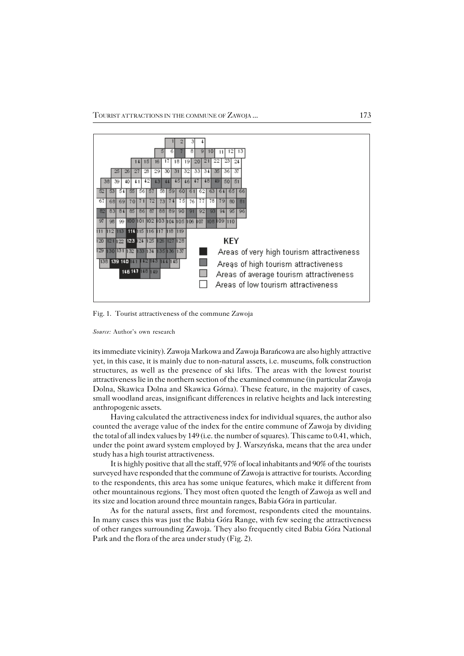

Fig. 1. Tourist attractiveness of the commune Zawoja

its immediate vicinity). Zawoja Markowa and Zawoja Barańcowa are also highly attractive yet, in this case, it is mainly due to non−natural assets, i.e. museums, folk construction structures, as well as the presence of ski lifts. The areas with the lowest tourist attractiveness lie in the northern section of the examined commune (in particular Zawoja Dolna, Skawica Dolna and Skawica Górna). These feature, in the majority of cases, small woodland areas, insignificant differences in relative heights and lack interesting anthropogenic assets.

Having calculated the attractiveness index for individual squares, the author also counted the average value of the index for the entire commune of Zawoja by dividing the total of all index values by 149 (i.e. the number of squares). This came to 0.41, which, under the point award system employed by J. Warszyńska, means that the area under study has a high tourist attractiveness.

It is highly positive that all the staff, 97% of local inhabitants and 90% of the tourists surveyed have responded that the commune of Zawoja is attractive for tourists. According to the respondents, this area has some unique features, which make it different from other mountainous regions. They most often quoted the length of Zawoja as well and its size and location around three mountain ranges, Babia Góra in particular.

As for the natural assets, first and foremost, respondents cited the mountains. In many cases this was just the Babia Góra Range, with few seeing the attractiveness of other ranges surrounding Zawoja. They also frequently cited Babia Góra National Park and the flora of the area under study (Fig. 2).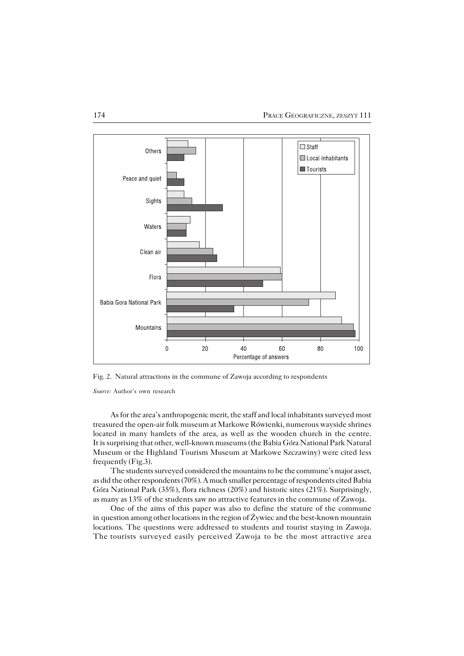

Fig. 2. Natural attractions in the commune of Zawoja according to respondents

As for the area's anthropogenic merit, the staff and local inhabitants surveyed most treasured the open−air folk museum at Markowe Rówienki, numerous wayside shrines located in many hamlets of the area, as well as the wooden church in the centre. It is surprising that other, well−known museums (the Babia Góra National Park Natural Museum or the Highland Tourism Museum at Markowe Szczawiny) were cited less frequently (Fig.3).

The students surveyed considered the mountains to be the commune's major asset, as did the other respondents (70%). A much smaller percentage of respondents cited Babia Góra National Park (35%), flora richness (20%) and historic sites (21%). Surprisingly, as many as 13% of the students saw no attractive features in the commune of Zawoja.

One of the aims of this paper was also to define the stature of the commune inquestion among other locations in the region of Żywiec and the best−known mountain locations. The questions were addressed to students and tourist staying in Zawoja. The tourists surveyed easily perceived Zawoja to be the most attractive area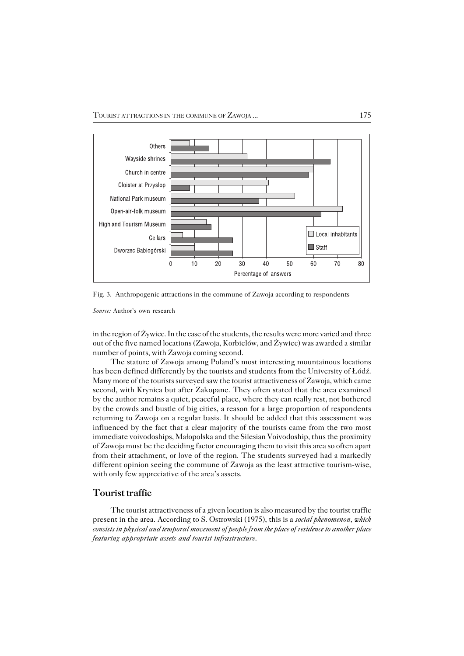

Fig. 3. Anthropogenic attractions in the commune of Zawoja according to respondents

in the region of  $\dot{Z}$ ywiec. In the case of the students, the results were more varied and three out of the five named locations (Zawoja, Korbielów, and Żywiec) was awarded a similar number of points, with Zawoja coming second.

The stature of Zawoja among Poland's most interesting mountainous locations has been defined differently by the tourists and students from the University of Łódź. Many more of the tourists surveyed saw the tourist attractiveness of Zawoja, which came second, with Krynica but after Zakopane. They often stated that the area examined bythe author remains a quiet, peaceful place, where they can really rest, not bothered bythe crowds and bustle of big cities, a reason for a large proportion of respondents returning to Zawoja on a regular basis. It should be added that this assessment was influenced by the fact that a clear majority of the tourists came from the two most immediate voivodoships, Małopolska and the Silesian Voivodoship, thus the proximity of Zawoja must be the deciding factor encouraging them to visit this area so often apart from their attachment, or love of the region. The students surveyed had a markedly different opinion seeing the commune of Zawoja as the least attractive tourism−wise, with only few appreciative of the area's assets.

## **Tourist traffic**

The tourist attractiveness of a given location is also measured by the tourist traffic present in the area. According to S. Ostrowski (1975), this is a *social phenomenon, which consists in physical and temporal movement of people from the place of residence to another place featuring appropriate assets and tourist infrastructure*.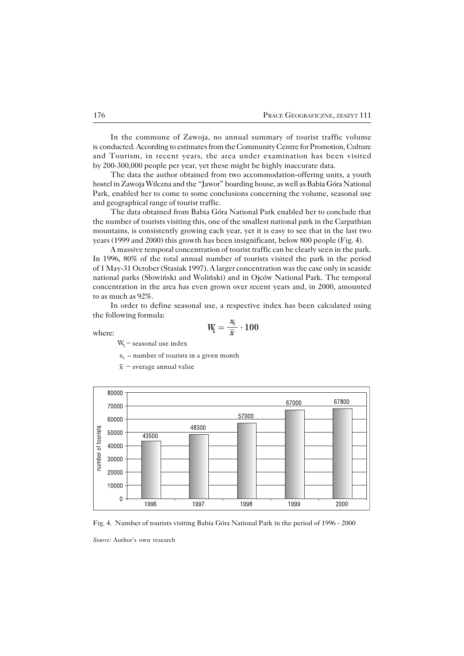In the commune of Zawoja, no annual summary of tourist traffic volume isconducted. According to estimates from the Community Centre for Promotion, Culture and Tourism, in recent years, the area under examination has been visited by 200−300,000 people per year, yet these might be highly inaccurate data.

The data the author obtained from two accommodation−offering units, a youth hostel in Zawoja Wilczna and the "Jawor" boarding house, as well as Babia Góra National Park, enabled her to come to some conclusions concerning the volume, seasonal use and geographical range of tourist traffic.

The data obtained from Babia Góra National Park enabled her to conclude that the number of tourists visiting this, one of the smallest national park in the Carpathian mountains, is consistently growing each year, yet it is easy to see that in the last two years (1999 and 2000) this growth has been insignificant, below 800 people (Fig. 4).

A massive temporal concentration of tourist traffic can be clearly seen in the park. In 1996, 80% of the total annual number of tourists visited the park in the period of 1 May−31 October (Stasiak 1997). A larger concentration was the case only in seaside national parks (Słowiński and Woliński) and in Ojców National Park. The temporal concentration in the area has even grown over recent years and, in 2000, amounted to as much as 92%.

In order to define seasonal use, a respective index has been calculated using the following formula:

where:

$$
W_1=\frac{x_i}{\overline{x}}\cdot 100
$$

 $W_1$  – seasonal use index

- $x_i$  number of tourists in a given month
- $\bar{x}$  average annual value



Fig. 4. Number of tourists visiting Babia Góra National Park in the period of 1996 − 2000

*Source:* Author's own research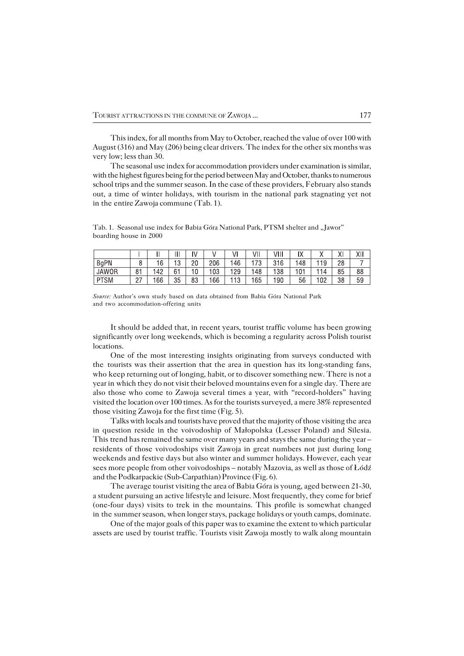This index, for all months from May to October, reached the value of over 100 with August (316) and May (206) being clear drivers. The index for the other six months was very low; less than 30.

The seasonal use index for accommodation providers under examination is similar, with the highest figures being for the period between May and October, thanks to numerous school trips and the summer season. In the case of these providers, February also stands out, a time of winter holidays, with tourism in the national park stagnating yet not in the entire Zawoja commune  $(Tab. 1)$ .

Tab. 1. Seasonal use index for Babia Góra National Park, PTSM shelter and "Jawor" boarding house in 2000

|              |           |     | 311        | IV |     | JI        | ۷II     | VIII | w<br>I٨   |    | v<br>୵୳ | XΙI |
|--------------|-----------|-----|------------|----|-----|-----------|---------|------|-----------|----|---------|-----|
| BgPN         | C<br>U    | 16  | 1 O<br>ں ا | 20 | 206 | 146       | 70<br>υ | 316  | 48        | 19 | 28      |     |
| <b>JAWOR</b> | 81        | 42  | 61         | 0  | 03  | 129       | 48      | 138  | 101<br>v. | 14 | 85      | 88  |
| <b>PTSM</b>  | ∩¬<br>، ے | 166 | 35         | 83 | 66  | 12<br>ں ا | 165     | 190  | 56        | 02 | 38      | 59  |

*Source:* Author's own study based on data obtained from Babia Góra National Park and two accommodation−offering units

It should be added that, in recent years, tourist traffic volume has been growing significantly over long weekends, which is becoming a regularity across Polish tourist locations.

One of the most interesting insights originating from surveys conducted with the tourists was their assertion that the area in question has its long-standing fans, who keep returning out of longing, habit, or to discover something new. There is not a year inwhich they do not visit their beloved mountains even for a single day. There are also those who come to Zawoja several times a year, with "record−holders" having visited the location over 100 times. As for the tourists surveyed, a mere 38% represented those visiting Zawoja for the first time (Fig. 5).

Talks with locals and tourists have proved that the majority of those visiting the area in question reside in the voivodoship of Małopolska (Lesser Poland) and Silesia. This trend has remained the same over many years and stays the same during the year  $$ residents of those voivodoships visit Zawoja in great numbers not just during long weekends and festive days but also winter and summer holidays. However, each year sees more people from other voivodoships – notably Mazovia, as well as those of Łódź and the Podkarpackie (Sub−Carpathian) Province (Fig. 6).

The average tourist visiting the area of Babia Góra is young, aged between 21−30, a student pursuing an active lifestyle and leisure. Most frequently, they come for brief (one−four days) visits to trek in the mountains. This profile is somewhat changed in the summer season, when longer stays, package holidays or youth camps, dominate.

One of the major goals of this paper was to examine the extent to which particular assets are used by tourist traffic. Tourists visit Zawoja mostly to walk along mountain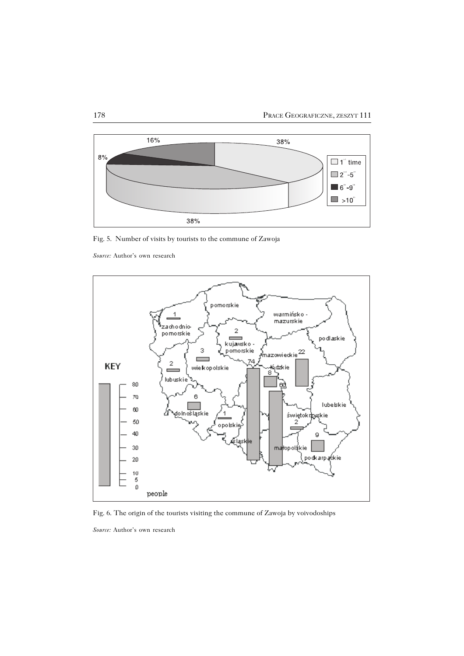

Fig. 5. Number of visits by tourists to the commune of Zawoja



Fig. 6. The origin of the tourists visiting the commune of Zawoja by voivodoships

*Source:* Author's own research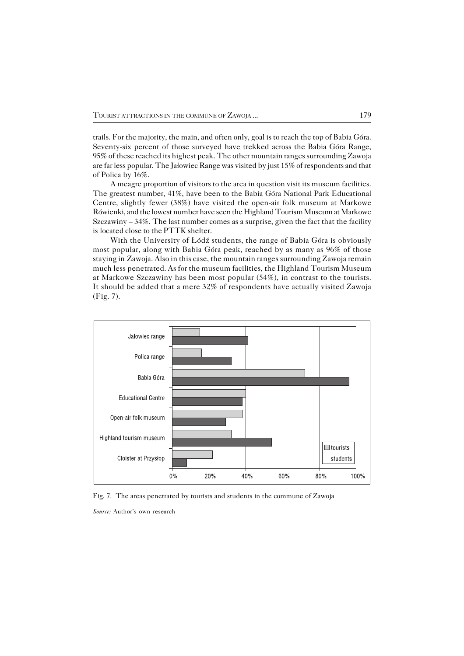trails. For the majority, the main, and often only, goal is to reach the top of Babia Góra. Seventy−six percent of those surveyed have trekked across the Babia Góra Range, 95% of these reached its highest peak. The other mountain ranges surrounding Zawoja are far less popular. The Jałowiec Range was visited by just 15% of respondents and that of Polica by 16%.

A meagre proportion of visitors to the area in question visit its museum facilities. The greatest number, 41%, have been to the Babia Góra National Park Educational Centre, slightly fewer (38%) have visited the open−air folk museum at Markowe Rówienki, and the lowest number have seen the Highland Tourism Museum at Markowe Szczawiny – 34%. The last number comes as a surprise, given the fact that the facility is located close to the PTTK shelter.

With the University of Łódź students, the range of Babia Góra is obviously most popular, along with Babia Góra peak, reached by as many as 96% of those staying inZawoja. Also in this case, the mountain ranges surrounding Zawoja remain much less penetrated. As for the museum facilities, the Highland Tourism Museum at Markowe Szczawiny has been most popular (54%), in contrast to the tourists. It should be added that a mere 32% of respondents have actually visited Zawoja (Fig. 7).



Fig. 7. The areas penetrated by tourists and students in the commune of Zawoja

*Source:* Author's own research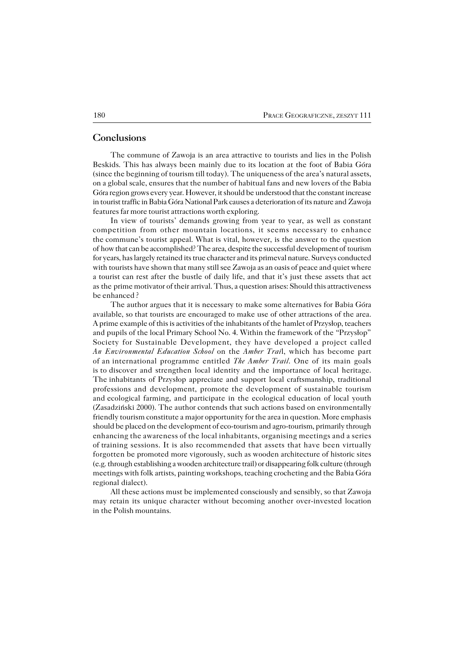# **Conclusions**

The commune of Zawoja is an area attractive to tourists and lies in the Polish Beskids. This has always been mainly due to its location at the foot of Babia Góra (since the beginning of tourism till today). The uniqueness of the area's natural assets, on a global scale, ensures that the number of habitual fans and new lovers of the Babia Góra region grows every year. However, it should be understood that the constant increase in tourist traffic in Babia Góra National Park causes a deterioration of its nature and Zawoja features far more tourist attractions worth exploring.

In view of tourists' demands growing from year to year, as well as constant competition from other mountain locations, it seems necessary to enhance the commune's tourist appeal. What is vital, however, is the answer to the question ofhow that can be accomplished? The area, despite the successful development oftourism for years, has largely retained its true character and its primeval nature. Surveys conducted with tourists have shown that many still see Zawoja as an oasis of peace and quiet where a tourist can rest after the bustle of daily life, and that it's just these assets that act as the prime motivator of their arrival. Thus, a question arises: Should this attractiveness be enhanced ?

The author argues that it is necessary to make some alternatives for Babia Góra available, so that tourists are encouraged to make use of other attractions of the area. A prime example of this is activities of the inhabitants of the hamlet of Przysłop, teachers and pupils of the local Primary School No. 4. Within the framework of the "Przysłop" Society for Sustainable Development, they have developed a project called *An Environmental Education School* on the *Amber Trai*l, which has become part of an international programme entitled *The Amber Trail*. One of its main goals is to discover and strengthen local identity and the importance of local heritage. The inhabitants of Przysłop appreciate and support local craftsmanship, traditional professions and development, promote the development of sustainable tourism and ecological farming, and participate in the ecological education of local youth (Zasadziński 2000). The author contends that such actions based on environmentally friendly tourism constitute a major opportunity for the area in question. More emphasis should be placed on the development of eco−tourism and agro−tourism, primarily through enhancing the awareness of the local inhabitants, organising meetings and a series oftraining sessions. It is also recommended that assets that have been virtually forgotten be promoted more vigorously, such as wooden architecture of historic sites (e.g. through establishing a wooden architecture trail) or disappearing folk culture (through meetings with folk artists, painting workshops, teaching crocheting and the Babia Góra regional dialect).

All these actions must be implemented consciously and sensibly, so that Zawoja may retain its unique character without becoming another over−invested location in the Polish mountains.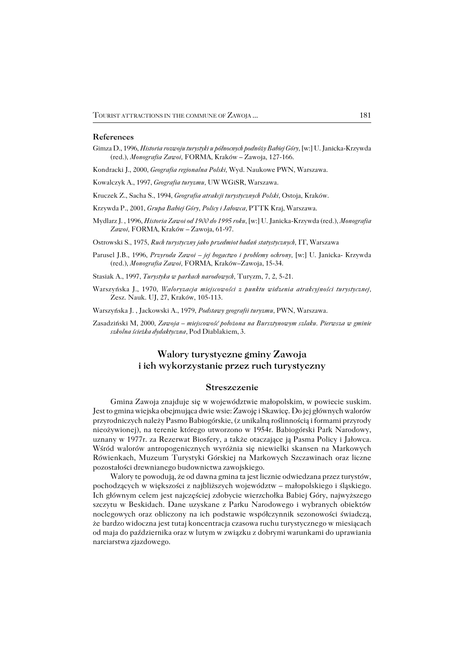#### **References**

Gimza D., 1996, *Historia rozwoju turystyki u północnych podnóży Babiej Góry,* [w:] U. Janicka−Krzywda (red.), *Monografia Zawoi,* FORMA, Kraków – Zawoja, 127−166.

Kondracki J., 2000, *Geografia regionalna Polski,* Wyd. Naukowe PWN, Warszawa.

Kowalczyk A., 1997, *Geografia turyzmu,* UW WGiSR, Warszawa.

Kruczek Z., Sacha S., 1994, *Geografia atrakcji turystycznych Polski*, Ostoja, Kraków.

Krzywda P., 2001, *Grupa Babiej Góry, Policy i Jałowca,* PTTK Kraj, Warszawa.

Mydlarz J. , 1996, *Historia Zawoi od 1900 do 1995 roku,* [w:] U. Janicka−Krzywda (red.), *Monografia Zawoi,* FORMA, Kraków – Zawoja, 61−97.

Ostrowski S., 1975, *Ruch turystyczny jako przedmiot badań statystycznych,* IT, Warszawa

Parusel J.B., 1996, *Przyroda Zawoi – jej bogactwo i problemy ochrony,* [w:] U. Janicka− Krzywda (red.), *Monografia Zawoi,* FORMA, Kraków–Zawoja, 15−34.

Stasiak A., 1997, *Turystyka w parkach narodowych,* Turyzm, 7, 2, 5−21.

Warszyńska J., 1970*, Waloryzacja miejscowości z punktu widzenia atrakcyjności turystycznej,* Zesz. Nauk. UJ, 27, Kraków, 105−113.

Warszyńska J. , Jackowski A., 1979, *Podstawy geografii turyzmu,* PWN, Warszawa.

Zasadziński M, 2000*, Zawoja – miejscowość położona na Bursztynowym szlaku. Pierwsza w gminie szkolna ścieżka dydaktyczna,* Pod Diablakiem, 3.

# **Walory turystyczne gminy Zawoja i ich wykorzystanie przez ruch turystyczny**

#### **Streszczenie**

Gmina Zawoja znajduje się w województwie małopolskim, w powiecie suskim. Jest to gmina wiejska obejmująca dwie wsie: Zawoję i Skawicę. Do jej głównych walorów przyrodniczych należy Pasmo Babiogórskie, (z unikalną roślinnością i formami przyrody nieożywionej), na terenie którego utworzono w 1954r. Babiogórski Park Narodowy, uznany w 1977r. za Rezerwat Biosfery, a także otaczające ją Pasma Policy i Jałowca. Wśród walorów antropogenicznych wyróżnia się niewielki skansen na Markowych Rówienkach, Muzeum Turystyki Górskiej na Markowych Szczawinach oraz liczne pozostałości drewnianego budownictwa zawojskiego.

Walory te powodują, że od dawna gmina ta jest licznie odwiedzana przez turystów, pochodzących w większości z najbliższych województw – małopolskiego i śląskiego. Ich głównym celem jest najczęściej zdobycie wierzchołka Babiej Góry, najwyższego szczytu w Beskidach. Dane uzyskane z Parku Narodowego i wybranych obiektów noclegowych oraz obliczony na ich podstawie współczynnik sezonowości świadczą, że bardzo widoczna jest tutaj koncentracja czasowa ruchu turystycznego w miesiącach od maja do października oraz w lutym w związku z dobrymi warunkami do uprawiania narciarstwa zjazdowego.